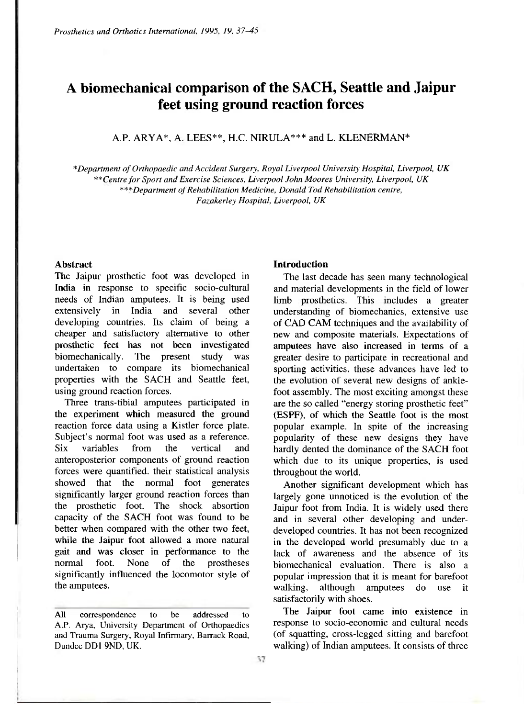# **A biomechanical comparison of the SACH, Seattle and Jaipur feet using ground reaction forces**

A.P. ARYA\*, A. LEES\*\*, H.C. NIRULA\*\*\* and L. KLENERMAN\*

*\*Department of Orthopaedic and Accident Surgery, Royal Liverpool University Hospital, Liverpool, UK \*\* Centre for Sport and Exercise Sciences, Liverpool John Moores University, Liverpool, UK \*\*\* Department of Rehabilitation Medicine, Donald Tod Rehabilitation centre, Fazakerley Hospital, Liverpool, UK* 

#### **Abstract**

The Jaipur prosthetic foot was developed in India in response to specific socio-cultural needs of Indian amputees. It is being used extensively in India and several other developing countries. Its claim of being a cheaper and satisfactory alternative to other prosthetic feet has not been investigated biomechanically. The present study was undertaken to compare its biomechanical properties with the SACH and Seattle feet, using ground reaction forces.

Three trans-tibial amputees participated in the experiment which measured the ground reaction force data using a Kistler force plate. Subject's normal foot was used as a reference. Six variables from the vertical and anteroposterior components of ground reaction forces were quantified, their statistical analysis showed that the normal foot generates significantly larger ground reaction forces than the prosthetic foot. The shock absortion capacity of the SACH foot was found to be better when compared with the other two feet, while the Jaipur foot allowed a more natural gait and was closer in performance to the normal foot. None of the prostheses significantly influenced the locomotor style of the amputees.

#### **Introduction**

The last decade has seen many technological and material developments in the field of lower limb prosthetics. This includes a greater understanding of biomechanics, extensive use of CAD CAM techniques and the availability of new and composite materials. Expectations of amputees have also increased in terms of a greater desire to participate in recreational and sporting activities, these advances have led to the evolution of several new designs of anklefoot assembly. The most exciting amongst these are the so called "energy storing prosthetic feet" (ESPF), of which the Seattle foot is the most popular example. In spite of the increasing popularity of these new designs they have hardly dented the dominance of the SACH foot which due to its unique properties, is used throughout the world.

Another significant development which has largely gone unnoticed is the evolution of the Jaipur foot from India. It is widely used there and in several other developing and underdeveloped countries. It has not been recognized in the developed world presumably due to a lack of awareness and the absence of its biomechanical evaluation. There is also a popular impression that it is meant for barefoot walking, although amputees do use it satisfactorily with shoes.

The Jaipur foot came into existence in response to socio-economic and cultural needs (of squatting, cross-legged sitting and barefoot walking) of Indian amputees. It consists of three

**All correspondence to be addressed to A.P. Arya, University Department of Orthopaedics and Trauma Surgery, Royal Infirmary, Barrack Road, Dundee DD1 9ND, UK.**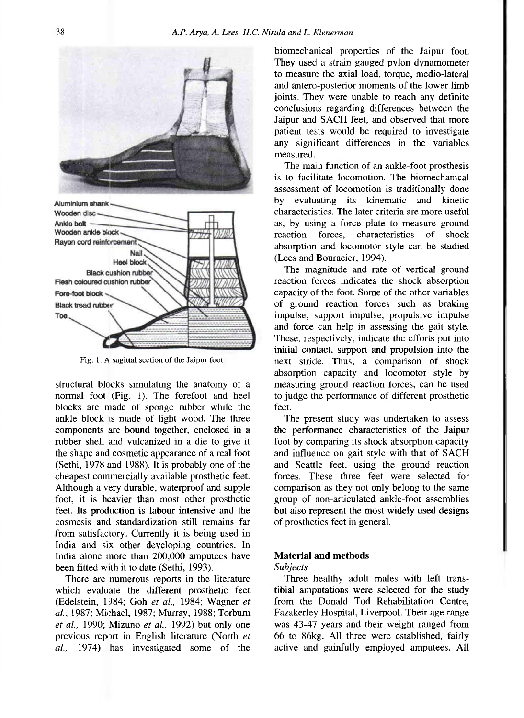

**Fig. 1. A sagittal section of the Jaipur foot.** 

structural blocks simulating the anatomy of a normal foot (Fig. 1). The forefoot and heel blocks are made of sponge rubber while the ankle block is made of light wood. The three components are bound together, enclosed in a rubber shell and vulcanized in a die to give it the shape and cosmetic appearance of a real foot (Sethi, 1978 and 1988). It is probably one of the cheapest commercially available prosthetic feet. Although a very durable, waterproof and supple foot, it is heavier than most other prosthetic feet. Its production is labour intensive and the cosmesis and standardization still remains far from satisfactory. Currently it is being used in India and six other developing countries. In India alone more than 200,000 amputees have been fitted with it to date (Sethi, 1993).

There are numerous reports in the literature which evaluate the different prosthetic feet (Edelstein, 1984; Goh *et al.,* 1984; Wagner *et al.,* 1987; Michael, 1987; Murray, 1988; Torburn *et al.,* 1990; Mizuno *et al.,* 1992) but only one previous report in English literature (North *et al.,* 1974) has investigated some of the biomechanical properties of the Jaipur foot. They used a strain gauged pylon dynamometer to measure the axial load, torque, medio-lateral and antero-posterior moments of the lower limb joints. They were unable to reach any definite conclusions regarding differences between the Jaipur and SACH feet, and observed that more patient tests would be required to investigate any significant differences in the variables measured.

The main function of an ankle-foot prosthesis is to facilitate locomotion. The biomechanical assessment of locomotion is traditionally done by evaluating its kinematic and kinetic characteristics. The later criteria are more useful as, by using a force plate to measure ground reaction forces, characteristics of shock absorption and locomotor style can be studied (Lees and Bouracier, 1994).

The magnitude and rate of vertical ground reaction forces indicates the shock absorption capacity of the foot. Some of the other variables of ground reaction forces such as braking impulse, support impulse, propulsive impulse and force can help in assessing the gait style. These, respectively, indicate the efforts put into initial contact, support and propulsion into the next stride. Thus, a comparison of shock absorption capacity and locomotor style by measuring ground reaction forces, can be used to judge the performance of different prosthetic feet.

The present study was undertaken to assess the performance characteristics of the Jaipur foot by comparing its shock absorption capacity and influence on gait style with that of SACH and Seattle feet, using the ground reaction forces. These three feet were selected for comparison as they not only belong to the same group of non-articulated ankle-foot assemblies but also represent the most widely used designs of prosthetics feet in general.

#### **Material and methods**

*Subjects* 

Three healthy adult males with left transtibial amputations were selected for the study from the Donald Tod Rehabilitation Centre, Fazakerley Hospital, Liverpool. Their age range was 43-47 years and their weight ranged from 66 to 86kg. All three were established, fairly active and gainfully employed amputees. All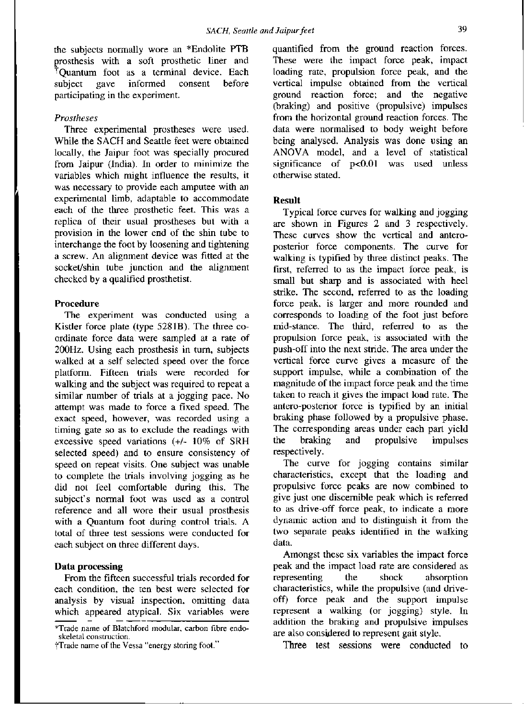the subjects normally wore an \*Endolite PTB prosthesis with a soft prosthetic liner and †Quantum foot as a terminal device. Each subject gave informed consent before participating in the experiment.

#### *Prostheses*

Three experimental prostheses were used. While the SACH and Seattle feet were obtained locally, the Jaipur foot was specially procured from Jaipur (India). In order to minimize the variables which might influence the results, it was necessary to provide each amputee with an experimental limb, adaptable to accommodate each of the three prosthetic feet. This was a replica of their usual prostheses but with a provision in the lower end of the shin tube to interchange the foot by loosening and tightening a screw. An alignment device was fitted at the socket/shin tube junction and the alignment checked by a qualified prosthetist.

#### **Procedure**

The experiment was conducted using a Kistler force plate (type 5281B). The three coordinate force data were sampled at a rate of 200Hz. Using each prosthesis in turn, subjects walked at a self selected speed over the force platform. Fifteen trials were recorded for walking and the subject was required to repeat a similar number of trials at a jogging pace. No attempt was made to force a fixed speed. The exact speed, however, was recorded using a timing gate so as to exclude the readings with excessive speed variations (+/- 10% of SRH selected speed) and to ensure consistency of speed on repeat visits. One subject was unable to complete the trials involving jogging as he did not feel comfortable during this. The subject's normal foot was used as a control reference and all wore their usual prosthesis with a Quantum foot during control trials. A total of three test sessions were conducted for each subject on three different days.

## **Data processing**

From the fifteen successful trials recorded for each condition, the ten best were selected for analysis by visual inspection, omitting data which appeared atypical. Six variables were quantified from the ground reaction forces. These were the impact force peak, impact loading rate, propulsion force peak, and the vertical impulse obtained from the vertical ground reaction force; and the negative (braking) and positive (propulsive) impulses from the horizontal ground reaction forces. The data were normalised to body weight before being analysed. Analysis was done using an ANOVA model, and a level of statistical significance of p<0.01 was used unless otherwise stated.

#### **Result**

Typical force curves for walking and jogging are shown in Figures 2 and 3 respectively. These curves show the vertical and anteroposterior force components. The curve for walking is typified by three distinct peaks. The first, referred to as the impact force peak, is small but sharp and is associated with heel strike. The second, referred to as the loading force peak, is larger and more rounded and corresponds to loading of the foot just before mid-stance. The third, referred to as the propulsion force peak, is associated with the push-off into the next stride. The area under the vertical force curve gives a measure of the support impulse, while a combination of the magnitude of the impact force peak and the time taken to reach it gives the impact load rate. The antero-posterior force is typified by an initial braking phase followed by a propulsive phase. The corresponding areas under each part yield<br>the braking and propulsive impulses the braking and propulsive impulses respectively.

The curve for jogging contains similar characteristics, except that the loading and propulsive force peaks are now combined to give just one discernible peak which is referred to as drive-off force peak, to indicate a more dynamic action and to distinguish it from the two separate peaks identified in the walking data.

Amongst these six variables the impact force peak and the impact load rate are considered as representing the shock absorption characteristics, while the propulsive (and driveoff) force peak and the support impulse represent a walking (or jogging) style. In addition the braking and propulsive impulses are also considered to represent gait style.

Three test sessions were conducted to

**<sup>\*</sup>Trade name of Blatchford modular, carbon fibre endoskeletal construction.** 

**<sup>†</sup> Trade name of the Vessa "energy storing foot."**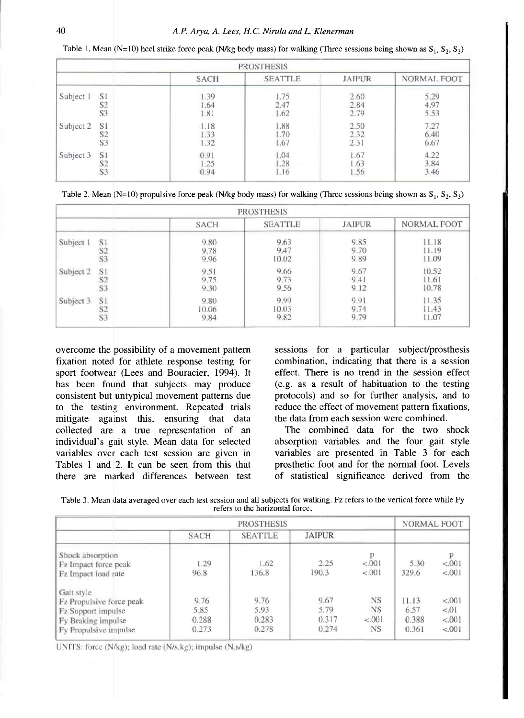Table 1. Mean (N=10) heel strike force peak (N/kg body mass) for walking (Three sessions being shown as  $S_1$ ,  $S_2$ ,  $S_3$ )

|           |                |             | <b>PROSTHESIS</b> |               |             |
|-----------|----------------|-------------|-------------------|---------------|-------------|
|           |                | <b>SACH</b> | <b>SEATTLE</b>    | <b>JAIPUR</b> | NORMAL FOOT |
| Subject 1 | S1             | .39         | 1.75              | 2.60          | 5.29        |
|           | S <sub>2</sub> | 1.64        | 2.47              | 2.84          | 4.97        |
|           | S <sub>3</sub> | 1.81        | 1.62              | 2.79          | 5.53        |
| Subject 2 | S1             | 1.18        | 1.88              | 2.50          | 7.27        |
|           | S <sub>2</sub> | 1.33        | .70               | 2.32          | 6.40        |
|           | S <sub>3</sub> | 1.32        | 1.67              | 2.31          | 6,67        |
| Subject 3 | S1             | 0.91        | 1.04              | 1.67          | 4.22        |
|           | S <sub>2</sub> | 1.25        | .28               | 1.63          | 3.84        |
|           | S <sub>3</sub> | 0.94        | 1.16              | 1.56          | 3.46        |

|           |                |             | <b>PROSTHESIS</b> |               |                    |
|-----------|----------------|-------------|-------------------|---------------|--------------------|
|           |                | <b>SACH</b> | <b>SEATTLE</b>    | <b>JAIPUR</b> | <b>NORMAL FOOT</b> |
| Subject 1 | S1             | 9.80        | 9.63              | 9.85          | 11.18              |
|           | S <sub>2</sub> | 9.78        | 9.47              | 9.70          | 11.19              |
|           | S <sub>3</sub> | 9.96        | 10.02             | 9.89          | 11.09              |
| Subject 2 | S1             | 9.51        | 9.66              | 9.67          | 10.52              |
|           | S2             | 9.75        | 9.73              | 9.41          | 11.61              |
|           | S <sub>3</sub> | 9.30        | 9.56              | 9.12          | 10.78              |
| Subject 3 | S1             | 9.80        | 9.99              | 9.91          | 11.35              |
|           | S <sub>2</sub> | 10.06       | 10.03             | 9.74          | 1.43               |
|           | S <sub>3</sub> | 9.84        | 9.82              | 9.79          | 11.07              |

overcome the possibility of a movement pattern fixation noted for athlete response testing for sport footwear (Lees and Bouracier, 1994). It has been found that subjects may produce consistent but untypical movement patterns due to the testing environment. Repeated trials mitigate against this, ensuring that data collected are a true representation of an individual's gait style. Mean data for selected variables over each test session are given in Tables 1 and 2. It can be seen from this that there are marked differences between test sessions for a particular subject/prosthesis combination, indicating that there is a session effect. There is no trend in the session effect (e.g. as a result of habituation to the testing protocols) and so for further analysis, and to reduce the effect of movement pattern fixations, the data from each session were combined.

The combined data for the two shock absorption variables and the four gait style variables are presented in Table 3 for each prosthetic foot and for the normal foot. Levels of statistical significance derived from the

| Table 3. Mean data averaged over each test session and all subjects for walking. Fz refers to the vertical force while Fy |                                 |  |  |
|---------------------------------------------------------------------------------------------------------------------------|---------------------------------|--|--|
|                                                                                                                           | refers to the horizontal force. |  |  |

|                                                                 |                | <b>PROSTHESIS</b> |                |                       | <b>NORMAL FOOT</b> |                    |
|-----------------------------------------------------------------|----------------|-------------------|----------------|-----------------------|--------------------|--------------------|
|                                                                 | <b>SACH</b>    | <b>SEATTLE</b>    | <b>JAIPUR</b>  |                       |                    |                    |
| Shock absorption<br>Fz Impact force peak<br>Fz Impact load rate | 1.29<br>96.8   | 1.62<br>136.8     | 2.25<br>190.3  | р<br>< .001<br>< .001 | 5.30<br>329.6      | < 0.001<br>< 0.001 |
| Gait style<br>Fz Propulsive force peak                          | 9.76           | 9.76              | 9.67           | <b>NS</b>             | 11.13              | < 0.001            |
| Fz Support impulse                                              | 5.85           | 5.93              | 5.79           | <b>NS</b>             | 6.57               | < 0.01             |
| Fy Braking impulse<br>Fy Propulsive impulse                     | 0.288<br>0.273 | 0.283<br>0.278    | 0.317<br>0.274 | < 001<br><b>NS</b>    | 0.388<br>0.361     | < 001<br>< 0.001   |

UNITS: force (N/kg); load rate (N/s.kg); impulse (N.s/kg)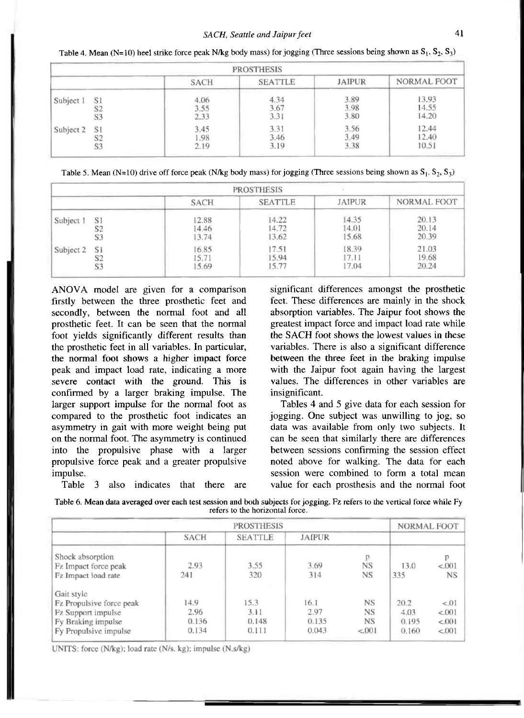|           |                |             | <b>PROSTHESIS</b> |               |             |  |
|-----------|----------------|-------------|-------------------|---------------|-------------|--|
|           |                | <b>SACH</b> | <b>SEATTLE</b>    | <b>JAIPUR</b> | NORMAL FOOT |  |
| Subject 1 | S1             | 4.06        | 4.34              | 3.89          | 13.93       |  |
|           | S <sub>2</sub> | 3.55        | 3.67              | 3.98          | 14.55       |  |
|           | S3             | 2.33        | 3.31              | 3.80          | 14.20       |  |
| Subject 2 | S1             | 3.45        | 3.31              | 3.56          | 12.44       |  |
|           | S2             | 1.98        | 3.46              | 3.49          | 12.40       |  |
|           | S <sub>3</sub> | 2.19        | 3.19              | 3.38          | 10.51       |  |

**Table 4. Mean (N=10) heel strike force peak N/kg body mass) for jogging (Three sessions being shown as S<sup>1</sup> , S<sup>2</sup> , S<sup>3</sup> )** 

**Table 5. Mean (N=10)** drive off force peak (N/kg body mass) for jogging (Three sessions being shown as  $S_1$ ,  $S_2$ ,  $S_3$ )

|           |                |                         | <b>PROSTHESIS</b>       |                         |                         |
|-----------|----------------|-------------------------|-------------------------|-------------------------|-------------------------|
|           |                | <b>SACH</b>             | <b>SEATTLE</b>          | <b>JAIPUR</b>           | <b>NORMAL FOOT</b>      |
| Subject 1 | S!<br>S3       | 12.88<br>4.46<br>13.74  | 14.22<br>14.72<br>13.62 | 14.35<br>14.01<br>15.68 | 20.13<br>20.14<br>20.39 |
| Subject 2 | S1<br>S2<br>S3 | 16.85<br>15.71<br>15.69 | 7.51<br>15.94<br>15.77  | 18.39<br>17.11<br>17.04 | 21.03<br>19.68<br>20.24 |

ANOVA model are given for a comparison firstly between the three prosthetic feet and secondly, between the normal foot and all prosthetic feet. It can be seen that the normal foot yields significantly different results than the prosthetic feet in all variables. In particular, the normal foot shows a higher impact force peak and impact load rate, indicating a more severe contact with the ground. This is confirmed by a larger braking impulse. The larger support impulse for the normal foot as compared to the prosthetic foot indicates an asymmetry in gait with more weight being put on the normal foot. The asymmetry is continued into the propulsive phase with a larger propulsive force peak and a greater propulsive impulse.

Table 3 also indicates that there are

significant differences amongst the prosthetic feet. These differences are mainly in the shock absorption variables. The Jaipur foot shows the greatest impact force and impact load rate while the SACH foot shows the lowest values in these variables. There is also a significant difference between the three feet in the braking impulse with the Jaipur foot again having the largest values. The differences in other variables are insignificant.

Tables 4 and 5 give data for each session for jogging. One subject was unwilling to jog, so data was available from only two subjects. It can be seen that similarly there are differences between sessions confirming the session effect noted above for walking. The data for each session were combined to form a total mean value for each prosthesis and the normal foot

| Table 6. Mean data averaged over each test session and both subjects for jogging. Fz refers to the vertical force while Fy |  |
|----------------------------------------------------------------------------------------------------------------------------|--|
| refers to the horizontal force.                                                                                            |  |

| <b>PROSTHESIS</b>        |             |                |               |           | <b>NORMAL FOOT</b> |           |
|--------------------------|-------------|----------------|---------------|-----------|--------------------|-----------|
|                          | <b>SACH</b> | <b>SEATTLE</b> | <b>JAIPUR</b> |           |                    |           |
| Shock absorption         |             |                |               |           |                    |           |
| Fz Impact force peak     | 2.93        | 3.55           | 3.69          | <b>NS</b> | 13.0               | < 0.001   |
| Fz Impact load rate      | 241         | 320            | 314           | NS        | 335                | <b>NS</b> |
| Gait style               |             |                |               |           |                    |           |
| Fz Propulsive force peak | 14.9        | 15.3           | 16.1          | <b>NS</b> | 20.2               | < 01      |
| Fz Support impulse       | 2.96        | 3.11           | 2.97          | <b>NS</b> | 4.03               | < 001     |
| Fy Braking impulse       | 0.136       | 0.148          | 0.135         | <b>NS</b> | 0.195              | < 001     |
| Fy Propulsive impulse    | 0.134       | 0.111          | 0.043         | < 0.001   | 0.160              | < 0.001   |

UNITS: force (N/kg); load rate (N/s. kg); impulse (N.s/kg)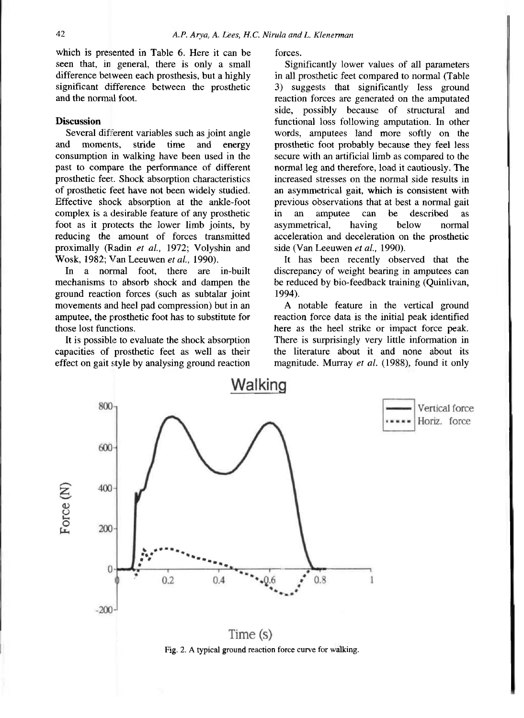which is presented in Table 6. Here it can be seen that, in general, there is only a small difference between each prosthesis, but a highly significant difference between the prosthetic and the normal foot.

## **Discussion**

Several different variables such as joint angle and moments, stride time and energy consumption in walking have been used in the past to compare the performance of different prosthetic feet. Shock absorption characteristics of prosthetic feet have not been widely studied. Effective shock absorption at the ankle-foot complex is a desirable feature of any prosthetic foot as it protects the lower limb joints, by reducing the amount of forces transmitted proximally (Radin *et al.,* 1972; Volyshin and Wosk, 1982; Van Leeuwen *et al.,* 1990).

In a normal foot, there are in-built mechanisms to absorb shock and dampen the ground reaction forces (such as subtalar joint movements and heel pad compression) but in an amputee, the prosthetic foot has to substitute for those lost functions.

It is possible to evaluate the shock absorption capacities of prosthetic feet as well as their effect on gait style by analysing ground reaction forces.

Significantly lower values of all parameters in all prosthetic feet compared to normal (Table 3) suggests that significantly less ground reaction forces are generated on the amputated side, possibly because of structural and functional loss following amputation. In other words, amputees land more softly on the prosthetic foot probably because they feel less secure with an artificial limb as compared to the normal leg and therefore, load it cautiously. The increased stresses on the normal side results in an asymmetrical gait, which is consistent with previous observations that at best a normal gait in an amputee can be described as asymmetrical, having below normal acceleration and deceleration on the prosthetic side (Van Leeuwen *et al.,* 1990).

It has been recently observed that the discrepancy of weight bearing in amputees can be reduced by bio-feedback training (Quinlivan, 1994).

A notable feature in the vertical ground reaction force data is the initial peak identified here as the heel strike or impact force peak. There is surprisingly very little information in the literature about it and none about its magnitude. Murray *et al.* (1988), found it only



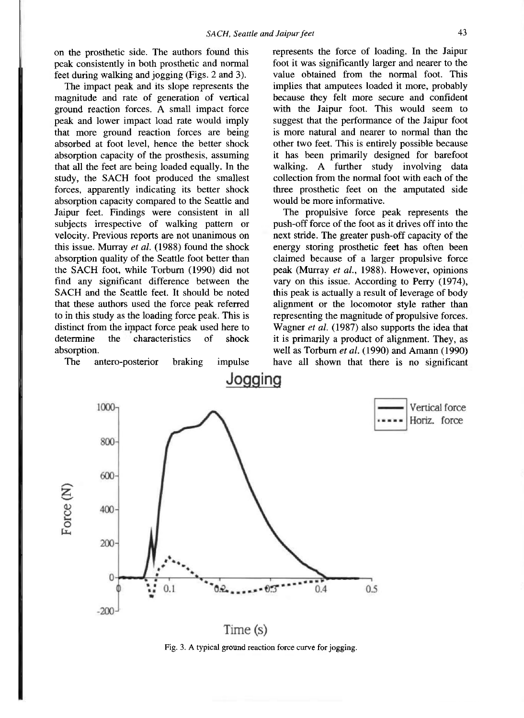on the prosthetic side. The authors found this peak consistently in both prosthetic and normal feet during walking and jogging (Figs. 2 and 3).

The impact peak and its slope represents the magnitude and rate of generation of vertical ground reaction forces. A small impact force peak and lower impact load rate would imply that more ground reaction forces are being absorbed at foot level, hence the better shock absorption capacity of the prosthesis, assuming that all the feet are being loaded equally. In the study, the SACH foot produced the smallest forces, apparently indicating its better shock absorption capacity compared to the Seattle and Jaipur feet. Findings were consistent in all subjects irrespective of walking pattern or velocity. Previous reports are not unanimous on this issue. Murray *et al.* (1988) found the shock absorption quality of the Seattle foot better than the SACH foot, while Torburn (1990) did not find any significant difference between the SACH and the Seattle feet. It should be noted that these authors used the force peak referred to in this study as the loading force peak. This is distinct from the impact force peak used here to determine the characteristics of shock absorption.

The antero-posterior braking impulse

represents the force of loading. In the Jaipur foot it was significantly larger and nearer to the value obtained from the normal foot. This implies that amputees loaded it more, probably because they felt more secure and confident with the Jaipur foot. This would seem to suggest that the performance of the Jaipur foot is more natural and nearer to normal than the other two feet. This is entirely possible because it has been primarily designed for barefoot walking. A further study involving data collection from the normal foot with each of the three prosthetic feet on the amputated side would be more informative.

The propulsive force peak represents the push-off force of the foot as it drives off into the next stride. The greater push-off capacity of the energy storing prosthetic feet has often been claimed because of a larger propulsive force peak (Murray *et al.,* 1988). However, opinions vary on this issue. According to Perry (1974), this peak is actually a result of leverage of body alignment or the locomotor style rather than representing the magnitude of propulsive forces. Wagner *et al.* (1987) also supports the idea that it is primarily a product of alignment. They, as well as Torburn *et al.* (1990) and Amann (1990) have all shown that there is no significant



**Fig. 3. A typical ground reaction force curve for jogging.**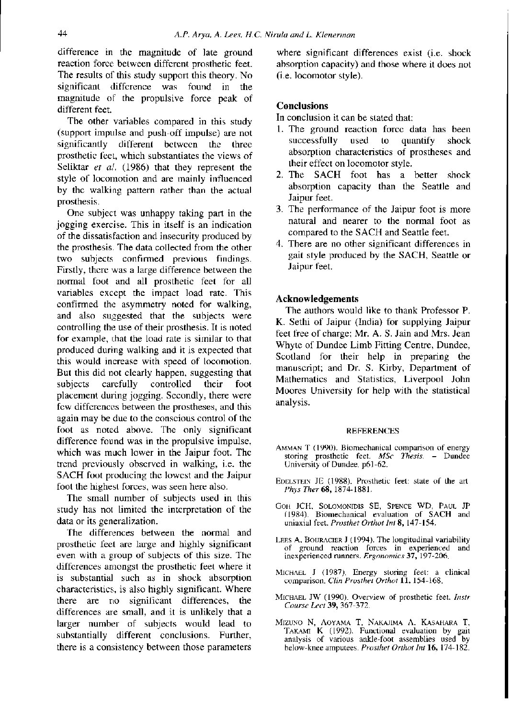difference in the magnitude of late ground reaction force between different prosthetic feet. The results of this study support this theory. No significant difference was found in the magnitude of the propulsive force peak of different feet.

The other variables compared in this study (support impulse and push-off impulse) are not significantly different between the three prosthetic feet, which substantiates the views of Seliktar *et al.* (1986) that they represent the style of locomotion and are mainly influenced by the walking pattern rather than the actual prosthesis.

One subject was unhappy taking part in the jogging exercise. This in itself is an indication of the dissatisfaction and insecurity produced by the prosthesis. The data collected from the other two subjects confirmed previous findings. Firstly, there was a large difference between the normal foot and all prosthetic feet for all variables except the impact load rate. This confirmed the asymmetry noted for walking, and also suggested that the subjects were controlling the use of their prosthesis. It is noted for example, chat the load rate is similar to that produced during walking and it is expected that this would increase with speed of locomotion. But this did not clearly happen, suggesting that subjects carefully controlled their foot placement during jogging. Secondly, there were few differences between the prostheses, and this again may be due to the conscious control of the foot as noted above. The only significant difference found was in the propulsive impulse, which was much lower in the Jaipur foot. The trend previously observed in walking, i.e. the SACH foot producing the lowest and the Jaipur foot the highest forces, was seen here also.

The small number of subjects used in this study has not limited the interpretation of the data or its generalization.

The differences between the normal and prosthetic feet are large and highly significant even with a group of subjects of this size. The differences amongst the prosthetic feet where it is substantial such as in shock absorption characteristics, is also highly significant. Where there are no significant differences, the differences are small, and it is unlikely that a larger number of subjects would lead to substantially different conclusions. Further, there is a consistency between those parameters

where significant differences exist (i.e. shock absorption capacity) and those where it does not (i.e. locomotor style).

## **Conclusions**

In conclusion it can be stated that:

- 1. The ground reaction force data has been<br>successfully used to quantify shock used to quantify shock absorption characteristics of prostheses and their effect on locomotor style.
- 2. The SACH foot has a better shock absorption capacity than the Seattle and Jaipur feet.
- 3. The performance of the Jaipur foot is more natural and nearer to the normal foot as compared to the SACH and Seattle feet.
- 4. There are no other significant differences in gait style produced by the SACH, Seattle or Jaipur feet.

## **Acknowledgements**

The authors would like to thank Professor P. K. Sethi of Jaipur (India) for supplying Jaipur feet free of charge; Mr. A. S. Jain and Mrs. Jean Whyte of Dundee Limb Fitting Centre, Dundee, Scotland for their help in preparing the manuscript; and Dr. S. Kirby, Department of Mathematics and Statistics, Liverpool John Moores University for help with the statistical analysis.

#### **REFERENCES**

- AMMAN T (1990). Biomechanical comparison of energy storing prosthetic feet. *MSc Thesis, -* Dundee University of Dundee. p61-62.
- EDELSTEIN JE (1988). Prosthetic feet: state of the art. *Phys Ther68,* 1874-1881.
- GOH JCH, SOLOMONIDIS SE, SPENCE WD, PAUL JP (1984). Biomechanical evaluation of SACH and uniaxial feet. *Prosthet Orthot Int* 8, 147-154.
- LEES A, BOURACIER J (1994). The longitudinal variability of ground reaction forces in experienced and inexperienced runners. *Ergonomics* 37, 197-206.
- MICHAEL J (1987), Energy storing feet: a clinical comparison. *Clin Prosthet Orthot* 11, 154-168,
- MICHAEL JW (1990). Overview of prosthetic feet. *Instr Course Led* 39, 367-372.
- MIZUNO N, AOYAMA T, NAKAJIMA A. KASAHARA T, TAKAMI K (1992). Functional evaluation by gait analysis of various ankle-foot assemblies used by below-knee amputees. *Prosthet Orthot Int* 16, 174-182.